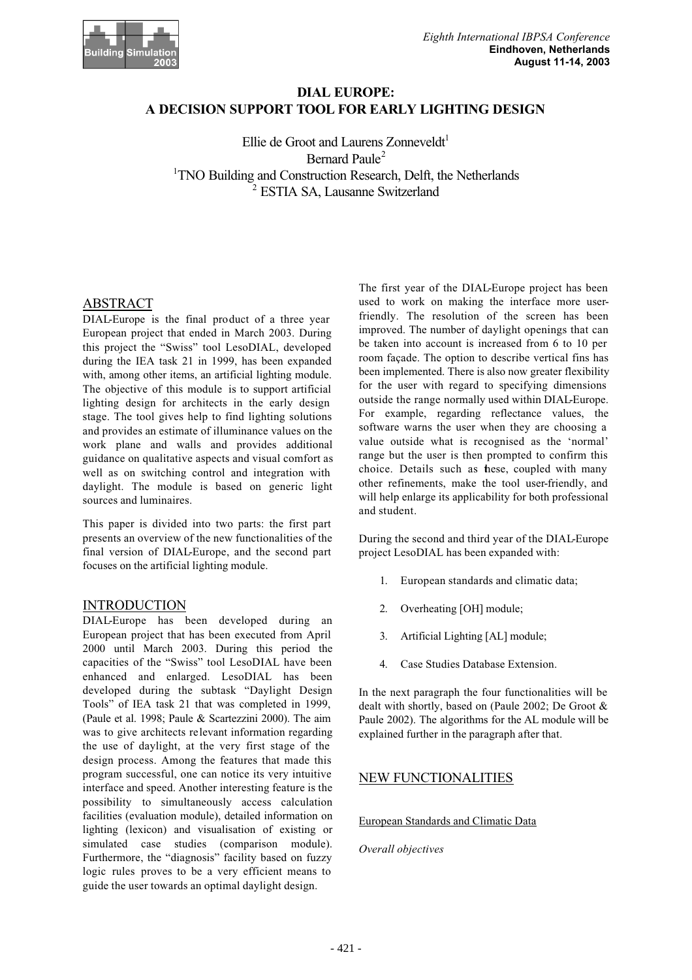

# **DIAL EUROPE: A DECISION SUPPORT TOOL FOR EARLY LIGHTING DESIGN**

Ellie de Groot and Laurens Zonneveldt $1$ Bernard Paule<sup>2</sup> <sup>1</sup>TNO Building and Construction Research, Delft, the Netherlands 2 ESTIA SA, Lausanne Switzerland

## ABSTRACT

DIAL-Europe is the final product of a three year European project that ended in March 2003. During this project the "Swiss" tool LesoDIAL, developed during the IEA task 21 in 1999, has been expanded with, among other items, an artificial lighting module. The objective of this module is to support artificial lighting design for architects in the early design stage. The tool gives help to find lighting solutions and provides an estimate of illuminance values on the work plane and walls and provides additional guidance on qualitative aspects and visual comfort as well as on switching control and integration with daylight. The module is based on generic light sources and luminaires.

This paper is divided into two parts: the first part presents an overview of the new functionalities of the final version of DIAL-Europe, and the second part focuses on the artificial lighting module.

## INTRODUCTION

DIAL-Europe has been developed during an European project that has been executed from April 2000 until March 2003. During this period the capacities of the "Swiss" tool LesoDIAL have been enhanced and enlarged. LesoDIAL has been developed during the subtask "Daylight Design Tools" of IEA task 21 that was completed in 1999, (Paule et al. 1998; Paule & Scartezzini 2000). The aim was to give architects relevant information regarding the use of daylight, at the very first stage of the design process. Among the features that made this program successful, one can notice its very intuitive interface and speed. Another interesting feature is the possibility to simultaneously access calculation facilities (evaluation module), detailed information on lighting (lexicon) and visualisation of existing or simulated case studies (comparison module). Furthermore, the "diagnosis" facility based on fuzzy logic rules proves to be a very efficient means to guide the user towards an optimal daylight design.

The first year of the DIAL-Europe project has been used to work on making the interface more userfriendly. The resolution of the screen has been improved. The number of daylight openings that can be taken into account is increased from 6 to 10 per room façade. The option to describe vertical fins has been implemented. There is also now greater flexibility for the user with regard to specifying dimensions outside the range normally used within DIAL-Europe. For example, regarding reflectance values, the software warns the user when they are choosing a value outside what is recognised as the 'normal' range but the user is then prompted to confirm this choice. Details such as these, coupled with many other refinements, make the tool user-friendly, and will help enlarge its applicability for both professional and student.

During the second and third year of the DIAL-Europe project LesoDIAL has been expanded with:

- 1. European standards and climatic data;
- 2. Overheating [OH] module;
- 3. Artificial Lighting [AL] module;
- 4. Case Studies Database Extension.

In the next paragraph the four functionalities will be dealt with shortly, based on (Paule 2002; De Groot & Paule 2002). The algorithms for the AL module will be explained further in the paragraph after that.

# NEW FUNCTIONALITIES

### European Standards and Climatic Data

*Overall objectives*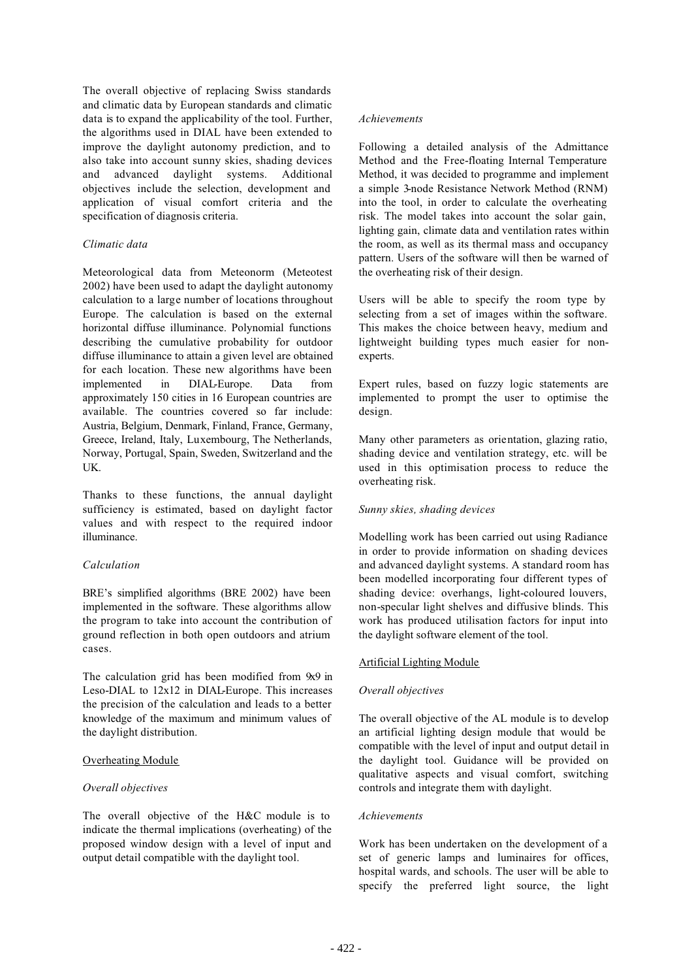The overall objective of replacing Swiss standards and climatic data by European standards and climatic data is to expand the applicability of the tool. Further, the algorithms used in DIAL have been extended to improve the daylight autonomy prediction, and to also take into account sunny skies, shading devices and advanced daylight systems. Additional objectives include the selection, development and application of visual comfort criteria and the specification of diagnosis criteria.

### *Climatic data*

Meteorological data from Meteonorm (Meteotest 2002) have been used to adapt the daylight autonomy calculation to a large number of locations throughout Europe. The calculation is based on the external horizontal diffuse illuminance. Polynomial functions describing the cumulative probability for outdoor diffuse illuminance to attain a given level are obtained for each location. These new algorithms have been implemented in DIAL-Europe. Data from approximately 150 cities in 16 European countries are available. The countries covered so far include: Austria, Belgium, Denmark, Finland, France, Germany, Greece, Ireland, Italy, Luxembourg, The Netherlands, Norway, Portugal, Spain, Sweden, Switzerland and the UK.

Thanks to these functions, the annual daylight sufficiency is estimated, based on daylight factor values and with respect to the required indoor illuminance.

### *Calculation*

BRE's simplified algorithms (BRE 2002) have been implemented in the software. These algorithms allow the program to take into account the contribution of ground reflection in both open outdoors and atrium cases.

The calculation grid has been modified from 9x9 in Leso-DIAL to 12x12 in DIAL-Europe. This increases the precision of the calculation and leads to a better knowledge of the maximum and minimum values of the daylight distribution.

### Overheating Module

### *Overall objectives*

The overall objective of the H&C module is to indicate the thermal implications (overheating) of the proposed window design with a level of input and output detail compatible with the daylight tool.

### *Achievements*

Following a detailed analysis of the Admittance Method and the Free-floating Internal Temperature Method, it was decided to programme and implement a simple 3-node Resistance Network Method (RNM) into the tool, in order to calculate the overheating risk. The model takes into account the solar gain, lighting gain, climate data and ventilation rates within the room, as well as its thermal mass and occupancy pattern. Users of the software will then be warned of the overheating risk of their design.

Users will be able to specify the room type by selecting from a set of images within the software. This makes the choice between heavy, medium and lightweight building types much easier for nonexperts.

Expert rules, based on fuzzy logic statements are implemented to prompt the user to optimise the design.

Many other parameters as orientation, glazing ratio, shading device and ventilation strategy, etc. will be used in this optimisation process to reduce the overheating risk.

### *Sunny skies, shading devices*

Modelling work has been carried out using Radiance in order to provide information on shading devices and advanced daylight systems. A standard room has been modelled incorporating four different types of shading device: overhangs, light-coloured louvers, non-specular light shelves and diffusive blinds. This work has produced utilisation factors for input into the daylight software element of the tool.

### Artificial Lighting Module

### *Overall objectives*

The overall objective of the AL module is to develop an artificial lighting design module that would be compatible with the level of input and output detail in the daylight tool. Guidance will be provided on qualitative aspects and visual comfort, switching controls and integrate them with daylight.

### *Achievements*

Work has been undertaken on the development of a set of generic lamps and luminaires for offices, hospital wards, and schools. The user will be able to specify the preferred light source, the light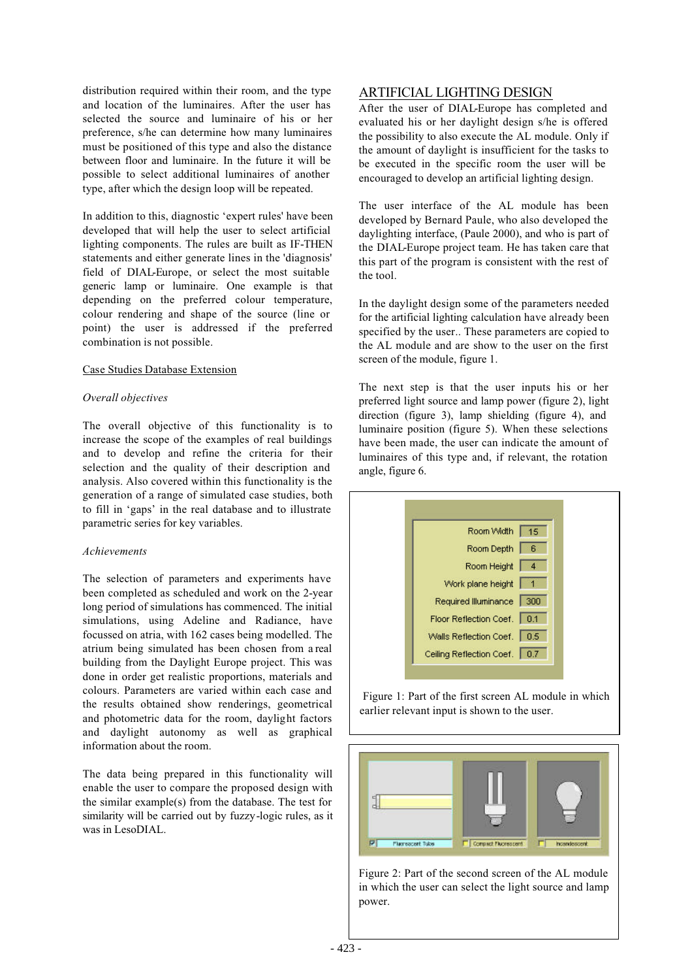distribution required within their room, and the type and location of the luminaires. After the user has selected the source and luminaire of his or her preference, s/he can determine how many luminaires must be positioned of this type and also the distance between floor and luminaire. In the future it will be possible to select additional luminaires of another type, after which the design loop will be repeated.

In addition to this, diagnostic 'expert rules' have been developed that will help the user to select artificial lighting components. The rules are built as IF-THEN statements and either generate lines in the 'diagnosis' field of DIAL-Europe, or select the most suitable generic lamp or luminaire. One example is that depending on the preferred colour temperature, colour rendering and shape of the source (line or point) the user is addressed if the preferred combination is not possible.

#### Case Studies Database Extension

#### *Overall objectives*

The overall objective of this functionality is to increase the scope of the examples of real buildings and to develop and refine the criteria for their selection and the quality of their description and analysis. Also covered within this functionality is the generation of a range of simulated case studies, both to fill in 'gaps' in the real database and to illustrate parametric series for key variables.

#### *Achievements*

The selection of parameters and experiments have been completed as scheduled and work on the 2-year long period of simulations has commenced. The initial simulations, using Adeline and Radiance, have focussed on atria, with 162 cases being modelled. The atrium being simulated has been chosen from a real building from the Daylight Europe project. This was done in order get realistic proportions, materials and colours. Parameters are varied within each case and the results obtained show renderings, geometrical and photometric data for the room, daylight factors and daylight autonomy as well as graphical information about the room.

The data being prepared in this functionality will enable the user to compare the proposed design with the similar example(s) from the database. The test for similarity will be carried out by fuzzy-logic rules, as it was in LesoDIAL.

### ARTIFICIAL LIGHTING DESIGN

After the user of DIAL-Europe has completed and evaluated his or her daylight design s/he is offered the possibility to also execute the AL module. Only if the amount of daylight is insufficient for the tasks to be executed in the specific room the user will be encouraged to develop an artificial lighting design.

The user interface of the AL module has been developed by Bernard Paule, who also developed the daylighting interface, (Paule 2000), and who is part of the DIAL-Europe project team. He has taken care that this part of the program is consistent with the rest of the tool.

In the daylight design some of the parameters needed for the artificial lighting calculation have already been specified by the user.. These parameters are copied to the AL module and are show to the user on the first screen of the module, figure 1.

The next step is that the user inputs his or her preferred light source and lamp power (figure 2), light direction (figure 3), lamp shielding (figure 4), and luminaire position (figure 5). When these selections have been made, the user can indicate the amount of luminaires of this type and, if relevant, the rotation angle, figure 6.



 Figure 1: Part of the first screen AL module in which earlier relevant input is shown to the user.



Figure 2: Part of the second screen of the AL module in which the user can select the light source and lamp power.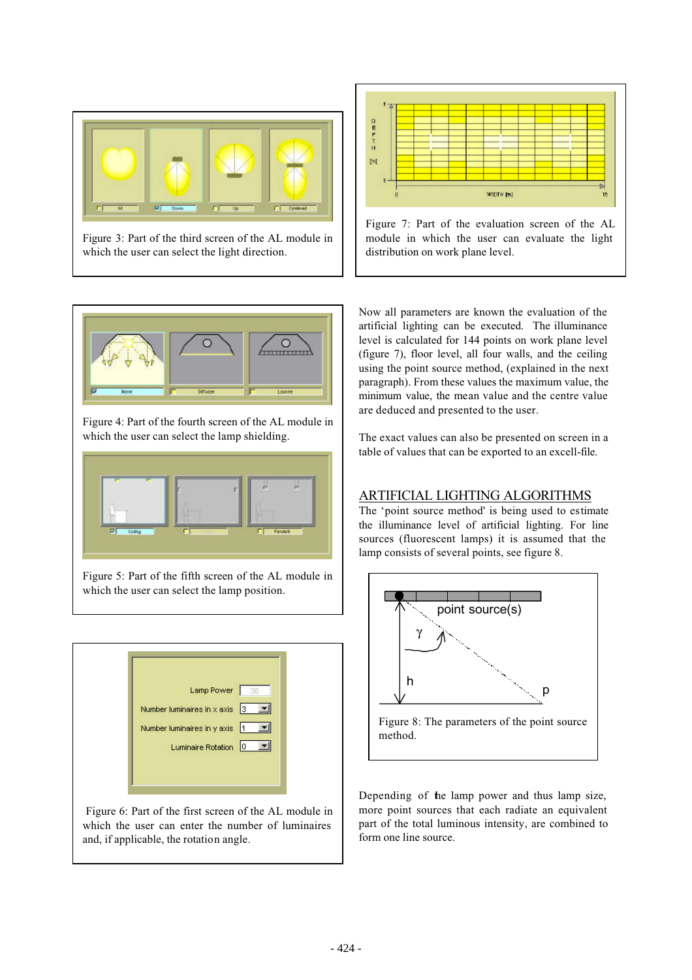

Figure 3: Part of the third screen of the AL module in which the user can select the light direction.



Figure 7: Part of the evaluation screen of the AL module in which the user can evaluate the light distribution on work plane level.



Figure 4: Part of the fourth screen of the AL module in which the user can select the lamp shielding.



Figure 5: Part of the fifth screen of the AL module in which the user can select the lamp position.



 Figure 6: Part of the first screen of the AL module in which the user can enter the number of luminaires and, if applicable, the rotation angle.

Now all parameters are known the evaluation of the artificial lighting can be executed. The illuminance level is calculated for 144 points on work plane level (figure 7), floor level, all four walls, and the ceiling using the point source method, (explained in the next paragraph). From these values the maximum value, the minimum value, the mean value and the centre value are deduced and presented to the user.

The exact values can also be presented on screen in a table of values that can be exported to an excell-file.

# ARTIFICIAL LIGHTING ALGORITHMS

The 'point source method' is being used to estimate the illuminance level of artificial lighting. For line sources (fluorescent lamps) it is assumed that the lamp consists of several points, see figure 8.



Depending of the lamp power and thus lamp size, more point sources that each radiate an equivalent part of the total luminous intensity, are combined to form one line source.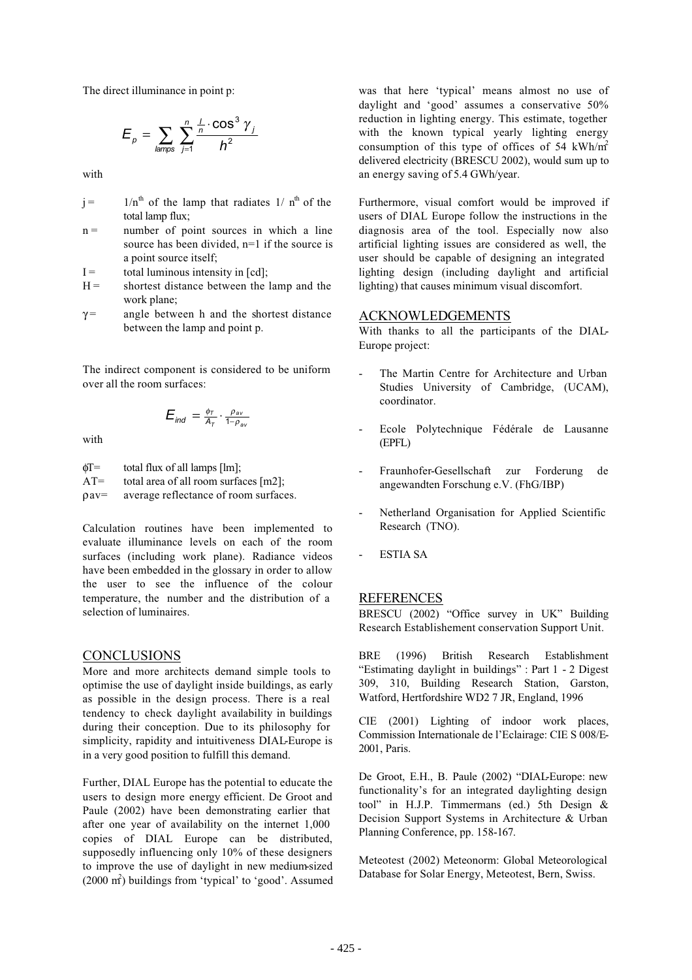The direct illuminance in point p:

$$
E_p = \sum_{\text{lamps}} \sum_{j=1}^n \frac{\frac{1}{n} \cdot \cos^3 \gamma_j}{h^2}
$$

with

| $i =$ |                  |  |  | $1/nth$ of the lamp that radiates 1/ $nth$ of the |  |  |
|-------|------------------|--|--|---------------------------------------------------|--|--|
|       | total lamp flux; |  |  |                                                   |  |  |

- $n =$  number of point sources in which a line source has been divided, n=1 if the source is a point source itself;
- $I =$  total luminous intensity in [cd];
- $H =$  shortest distance between the lamp and the work plane;
- $\gamma$  = angle between h and the shortest distance between the lamp and point p.

The indirect component is considered to be uniform over all the room surfaces:

$$
E_{\textit{ind}} = \frac{\phi_T}{A_T} \cdot \frac{\rho_{\textit{av}}}{1 - \rho_{\textit{av}}}
$$

with

 $\phi$ T= total flux of all lamps [lm];  $AT=$  total area of all room surfaces [m2];

ρav= average reflectance of room surfaces.

Calculation routines have been implemented to evaluate illuminance levels on each of the room surfaces (including work plane). Radiance videos have been embedded in the glossary in order to allow the user to see the influence of the colour temperature, the number and the distribution of a selection of luminaires.

#### **CONCLUSIONS**

More and more architects demand simple tools to optimise the use of daylight inside buildings, as early as possible in the design process. There is a real tendency to check daylight availability in buildings during their conception. Due to its philosophy for simplicity, rapidity and intuitiveness DIAL-Europe is in a very good position to fulfill this demand.

Further, DIAL Europe has the potential to educate the users to design more energy efficient. De Groot and Paule (2002) have been demonstrating earlier that after one year of availability on the internet 1,000 copies of DIAL Europe can be distributed, supposedly influencing only 10% of these designers to improve the use of daylight in new medium-sized (2000 m<sup>2</sup>) buildings from 'typical' to 'good'. Assumed was that here 'typical' means almost no use of daylight and 'good' assumes a conservative 50% reduction in lighting energy. This estimate, together with the known typical yearly lighting energy consumption of this type of offices of 54 kWh/m2 delivered electricity (BRESCU 2002), would sum up to an energy saving of 5.4 GWh/year.

Furthermore, visual comfort would be improved if users of DIAL Europe follow the instructions in the diagnosis area of the tool. Especially now also artificial lighting issues are considered as well, the user should be capable of designing an integrated lighting design (including daylight and artificial lighting) that causes minimum visual discomfort.

### ACKNOWLEDGEMENTS

With thanks to all the participants of the DIAL-Europe project:

- The Martin Centre for Architecture and Urban Studies University of Cambridge, (UCAM), coordinator.
- Ecole Polytechnique Fédérale de Lausanne (EPFL)
- Fraunhofer-Gesellschaft zur Forderung de angewandten Forschung e.V. (FhG/IBP)
- Netherland Organisation for Applied Scientific Research (TNO).
- ESTIA SA

## REFERENCES

BRESCU (2002) "Office survey in UK" Building Research Establishement conservation Support Unit.

BRE (1996) British Research Establishment "Estimating daylight in buildings" : Part 1 - 2 Digest 309, 310, Building Research Station, Garston, Watford, Hertfordshire WD2 7 JR, England, 1996

CIE (2001) Lighting of indoor work places, Commission Internationale de l'Eclairage: CIE S 008/E-2001, Paris.

De Groot, E.H., B. Paule (2002) "DIAL-Europe: new functionality's for an integrated daylighting design tool" in H.J.P. Timmermans (ed.) 5th Design & Decision Support Systems in Architecture & Urban Planning Conference, pp. 158-167.

Meteotest (2002) Meteonorm: Global Meteorological Database for Solar Energy, Meteotest, Bern, Swiss.